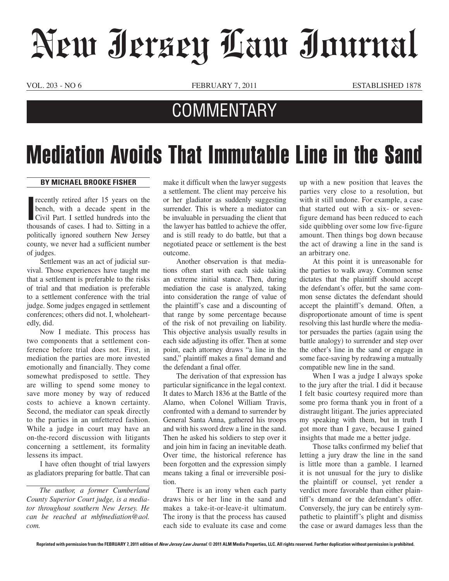## New Jersey Law Journal

VOL. 203 - NO 6 FEBRUARY 7, 2011 ESTABLISHED 1878

## **COMMENTARY**

## Mediation Avoids That Immutable Line in the Sand

## **By Michael Brooke Fisher**

**I** recently retired after 15 years on the bench, with a decade spent in the Civil Part. I settled hundreds into the thousands of cases. I had to. Sitting in a recently retired after 15 years on the bench, with a decade spent in the Civil Part. I settled hundreds into the politically ignored southern New Jersey county, we never had a sufficient number of judges.

Settlement was an act of judicial survival. Those experiences have taught me that a settlement is preferable to the risks of trial and that mediation is preferable to a settlement conference with the trial judge. Some judges engaged in settlement conferences; others did not. I, wholeheartedly, did.

Now I mediate. This process has two components that a settlement conference before trial does not. First, in mediation the parties are more invested emotionally and financially. They come somewhat predisposed to settle. They are willing to spend some money to save more money by way of reduced costs to achieve a known certainty. Second, the mediator can speak directly to the parties in an unfettered fashion. While a judge in court may have an on-the-record discussion with litigants concerning a settlement, its formality lessens its impact.

I have often thought of trial lawyers as gladiators preparing for battle. That can

*The author, a former Cumberland County Superior Court judge, is a mediator throughout southern New Jersey. He can be reached at mbfmediation@aol. com.*

make it difficult when the lawyer suggests a settlement. The client may perceive his or her gladiator as suddenly suggesting surrender. This is where a mediator can be invaluable in persuading the client that the lawyer has battled to achieve the offer, and is still ready to do battle, but that a negotiated peace or settlement is the best outcome.

Another observation is that mediations often start with each side taking an extreme initial stance. Then, during mediation the case is analyzed, taking into consideration the range of value of the plaintiff's case and a discounting of that range by some percentage because of the risk of not prevailing on liability. This objective analysis usually results in each side adjusting its offer. Then at some point, each attorney draws "a line in the sand," plaintiff makes a final demand and the defendant a final offer.

The derivation of that expression has particular significance in the legal context. It dates to March 1836 at the Battle of the Alamo, when Colonel William Travis, confronted with a demand to surrender by General Santa Anna, gathered his troops and with his sword drew a line in the sand. Then he asked his soldiers to step over it and join him in facing an inevitable death. Over time, the historical reference has been forgotten and the expression simply means taking a final or irreversible position.

There is an irony when each party draws his or her line in the sand and makes a take-it-or-leave-it ultimatum. The irony is that the process has caused each side to evaluate its case and come

up with a new position that leaves the parties very close to a resolution, but with it still undone. For example, a case that started out with a six- or sevenfigure demand has been reduced to each side quibbling over some low five-figure amount. Then things bog down because the act of drawing a line in the sand is an arbitrary one.

At this point it is unreasonable for the parties to walk away. Common sense dictates that the plaintiff should accept the defendant's offer, but the same common sense dictates the defendant should accept the plaintiff's demand. Often, a disproportionate amount of time is spent resolving this last hurdle where the mediator persuades the parties (again using the battle analogy) to surrender and step over the other's line in the sand or engage in some face-saving by redrawing a mutually compatible new line in the sand.

When I was a judge I always spoke to the jury after the trial. I did it because I felt basic courtesy required more than some pro forma thank you in front of a distraught litigant. The juries appreciated my speaking with them, but in truth I got more than I gave, because I gained insights that made me a better judge.

Those talks confirmed my belief that letting a jury draw the line in the sand is little more than a gamble. I learned it is not unusual for the jury to dislike the plaintiff or counsel, yet render a verdict more favorable than either plaintiff's demand or the defendant's offer. Conversely, the jury can be entirely sympathetic to plaintiff's plight and dismiss the case or award damages less than the